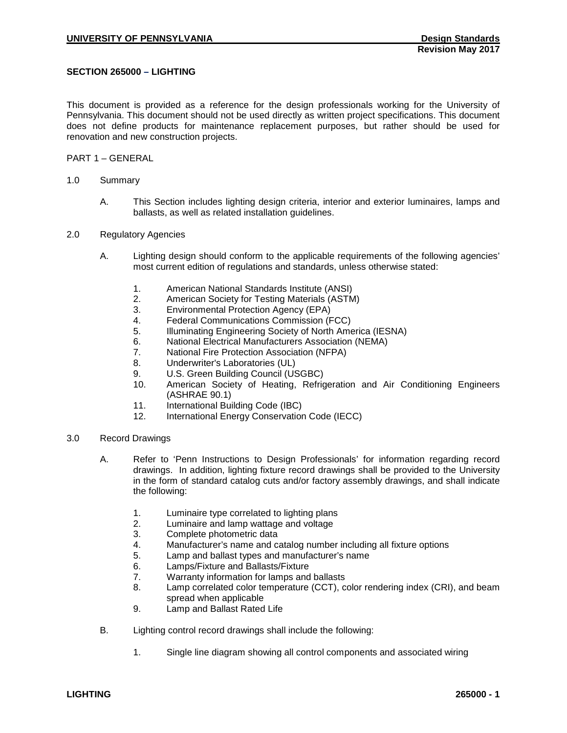# **SECTION 265000 – LIGHTING**

This document is provided as a reference for the design professionals working for the University of Pennsylvania. This document should not be used directly as written project specifications. This document does not define products for maintenance replacement purposes, but rather should be used for renovation and new construction projects.

## PART 1 – GENERAL

- 1.0 Summary
	- A. This Section includes lighting design criteria, interior and exterior luminaires, lamps and ballasts, as well as related installation guidelines.
- 2.0 Regulatory Agencies
	- A. Lighting design should conform to the applicable requirements of the following agencies' most current edition of regulations and standards, unless otherwise stated:
		- 1. American National Standards Institute (ANSI)
		- 2. American Society for Testing Materials (ASTM)
		-
		- 3. Environmental Protection Agency (EPA) 4. Federal Communications Commission (FCC)<br>5. Illuminating Engineering Society of North Ame
		- 5. Illuminating Engineering Society of North America (IESNA)
		- 6. National Electrical Manufacturers Association (NEMA)<br>7. National Fire Protection Association (NFPA)
		- 7. National Fire Protection Association (NFPA)
		- 8. Underwriter's Laboratories (UL)
		- 9. U.S. Green Building Council (USGBC)<br>10. American Society of Heating Refric
		- American Society of Heating, Refrigeration and Air Conditioning Engineers (ASHRAE 90.1)
		- 11. International Building Code (IBC)
		- 12. International Energy Conservation Code (IECC)
- 3.0 Record Drawings
	- A. Refer to 'Penn Instructions to Design Professionals' for information regarding record drawings. In addition, lighting fixture record drawings shall be provided to the University in the form of standard catalog cuts and/or factory assembly drawings, and shall indicate the following:
		- 1. Luminaire type correlated to lighting plans
		- 2. Luminaire and lamp wattage and voltage<br>3. Complete photometric data
		- Complete photometric data
		- 4. Manufacturer's name and catalog number including all fixture options
		- 5. Lamp and ballast types and manufacturer's name<br>6. Lamps/Fixture and Ballasts/Fixture
		- Lamps/Fixture and Ballasts/Fixture
		- 7. Warranty information for lamps and ballasts<br>8. Lamp correlated color temperature (CCT), c
		- Lamp correlated color temperature (CCT), color rendering index (CRI), and beam spread when applicable
		- 9. Lamp and Ballast Rated Life
	- B. Lighting control record drawings shall include the following:
		- 1. Single line diagram showing all control components and associated wiring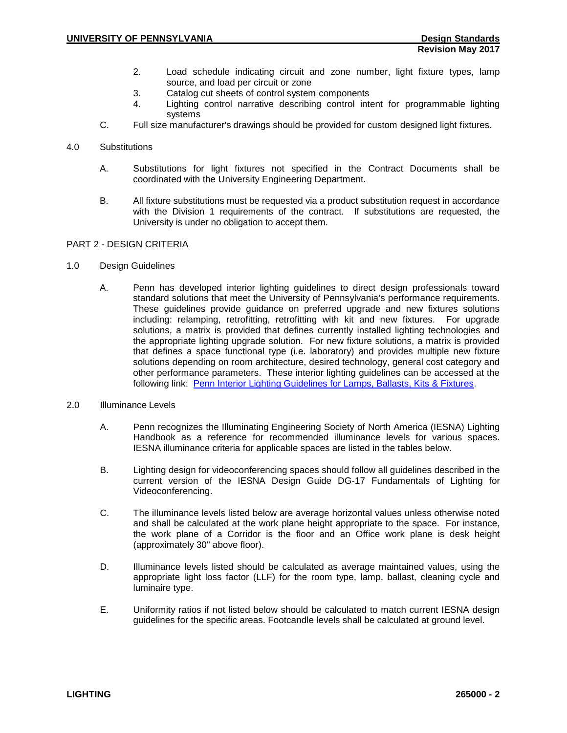- 2. Load schedule indicating circuit and zone number, light fixture types, lamp source, and load per circuit or zone
- 3. Catalog cut sheets of control system components<br>4 lighting control parrative describing control inte
- Lighting control narrative describing control intent for programmable lighting systems
- C. Full size manufacturer's drawings should be provided for custom designed light fixtures.

## 4.0 Substitutions

- A. Substitutions for light fixtures not specified in the Contract Documents shall be coordinated with the University Engineering Department.
- B. All fixture substitutions must be requested via a product substitution request in accordance with the Division 1 requirements of the contract. If substitutions are requested, the University is under no obligation to accept them.

# PART 2 - DESIGN CRITERIA

### 1.0 Design Guidelines

- A. Penn has developed interior lighting guidelines to direct design professionals toward standard solutions that meet the University of Pennsylvania's performance requirements. These guidelines provide guidance on preferred upgrade and new fixtures solutions including: relamping, retrofitting, retrofitting with kit and new fixtures. For upgrade solutions, a matrix is provided that defines currently installed lighting technologies and the appropriate lighting upgrade solution. For new fixture solutions, a matrix is provided that defines a space functional type (i.e. laboratory) and provides multiple new fixture solutions depending on room architecture, desired technology, general cost category and other performance parameters. These interior lighting guidelines can be accessed at the following link: [Penn Interior Lighting Guidelines for Lamps, Ballasts, Kits & Fixtures.](https://www.facilities.upenn.edu/sites/default/files/penn_interior_lighting_guideline_for_lamps_ballasts_kits_fixtures_-_10.02.2014.pdf)
- 2.0 Illuminance Levels
	- A. Penn recognizes the Illuminating Engineering Society of North America (IESNA) Lighting Handbook as a reference for recommended illuminance levels for various spaces. IESNA illuminance criteria for applicable spaces are listed in the tables below.
	- B. Lighting design for videoconferencing spaces should follow all guidelines described in the current version of the IESNA Design Guide DG-17 Fundamentals of Lighting for Videoconferencing.
	- C. The illuminance levels listed below are average horizontal values unless otherwise noted and shall be calculated at the work plane height appropriate to the space. For instance, the work plane of a Corridor is the floor and an Office work plane is desk height (approximately 30" above floor).
	- D. Illuminance levels listed should be calculated as average maintained values, using the appropriate light loss factor (LLF) for the room type, lamp, ballast, cleaning cycle and luminaire type.
	- E. Uniformity ratios if not listed below should be calculated to match current IESNA design guidelines for the specific areas. Footcandle levels shall be calculated at ground level.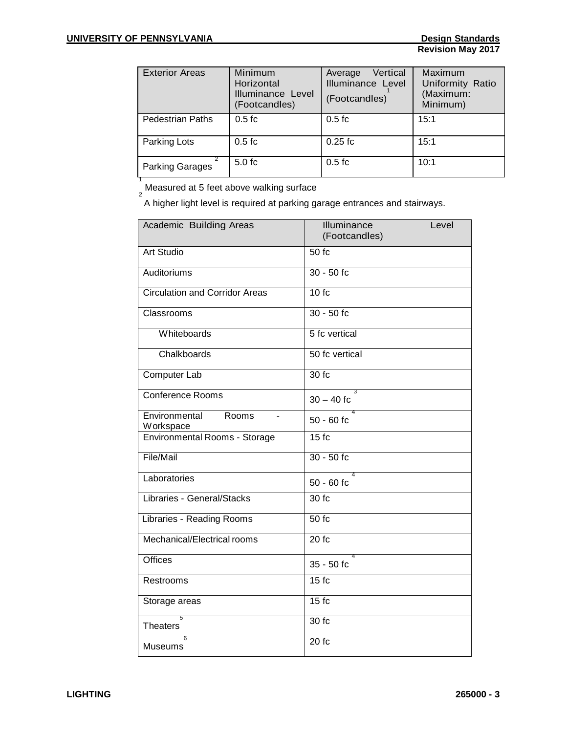| <b>Exterior Areas</b>   | Minimum<br>Horizontal<br>Illuminance Level<br>(Footcandles) | Vertical<br>Average<br>Illuminance Level<br>(Footcandles) | Maximum<br>Uniformity Ratio<br>(Maximum:<br>Minimum) |
|-------------------------|-------------------------------------------------------------|-----------------------------------------------------------|------------------------------------------------------|
| <b>Pedestrian Paths</b> | $0.5 f$ c                                                   | $0.5 f$ c                                                 | 15:1                                                 |
| Parking Lots            | $0.5 f$ c                                                   | $0.25$ fc                                                 | 15:1                                                 |
| <b>Parking Garages</b>  | $5.0 f$ c                                                   | $0.5 f$ c                                                 | 10:1                                                 |

<sup>1</sup><br>\_Measured at 5 feet above walking surface<br><sup>2</sup>

A higher light level is required at parking garage entrances and stairways.

| Academic Building Areas               | Illuminance<br>Level<br>(Footcandles) |  |
|---------------------------------------|---------------------------------------|--|
| <b>Art Studio</b>                     | 50 f                                  |  |
| <b>Auditoriums</b>                    | $30 - 50$ fc                          |  |
| <b>Circulation and Corridor Areas</b> | 10fc                                  |  |
| Classrooms                            | $30 - 50$ fc                          |  |
| Whiteboards                           | 5 fc vertical                         |  |
| Chalkboards                           | 50 fc vertical                        |  |
| Computer Lab                          | 30 fc                                 |  |
| <b>Conference Rooms</b>               | 3<br>$30 - 40$ fc                     |  |
| Environmental Rooms<br>Workspace      | $\overline{4}$<br>$50 - 60$ fc        |  |
| <b>Environmental Rooms - Storage</b>  | 15f                                   |  |
| File/Mail                             | $30 - 50$ fc                          |  |
| Laboratories                          | 4<br>$50 - 60$ fc                     |  |
| Libraries - General/Stacks            | 30 fc                                 |  |
| Libraries - Reading Rooms             | 50 fc                                 |  |
| Mechanical/Electrical rooms           | 20 f <sub>c</sub>                     |  |
| <b>Offices</b>                        | 4<br>$35 - 50$ fc                     |  |
| Restrooms                             | 15fc                                  |  |
| Storage areas                         | $15f$ c                               |  |
| 5<br><b>Theaters</b>                  | 30 fc                                 |  |
| 6<br><b>Museums</b>                   | 20 f <sub>c</sub>                     |  |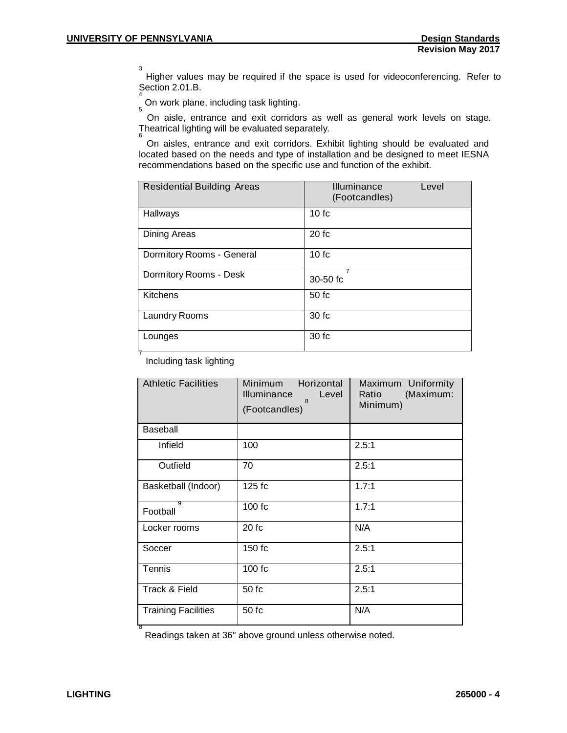3 Higher values may be required if the space is used for videoconferencing. Refer to Section 2.01.B.

On work plane, including task lighting.

On aisle, entrance and exit corridors as well as general work levels on stage. Theatrical lighting will be evaluated separately. <sup>6</sup>

On aisles, entrance and exit corridors. Exhibit lighting should be evaluated and located based on the needs and type of installation and be designed to meet IESNA recommendations based on the specific use and function of the exhibit.

| <b>Residential Building Areas</b> | Illuminance<br>Level<br>(Footcandles) |  |
|-----------------------------------|---------------------------------------|--|
| Hallways                          | 10fc                                  |  |
| Dining Areas                      | 20fc                                  |  |
| Dormitory Rooms - General         | 10fc                                  |  |
| Dormitory Rooms - Desk            | $30-50$ fc                            |  |
| Kitchens                          | 50fc                                  |  |
| Laundry Rooms                     | 30fc                                  |  |
| Lounges                           | 30 fc                                 |  |

Including task lighting

| <b>Athletic Facilities</b> | Minimum<br>Horizontal<br><b>Illuminance</b><br>Level<br>$\mathsf{R}$<br>(Footcandles) | Maximum Uniformity<br>(Maximum:<br>Ratio<br>Minimum) |
|----------------------------|---------------------------------------------------------------------------------------|------------------------------------------------------|
| Baseball                   |                                                                                       |                                                      |
| Infield                    | 100                                                                                   | 2.5:1                                                |
| Outfield                   | 70                                                                                    | 2.5:1                                                |
| Basketball (Indoor)        | 125 fc                                                                                | 1.7:1                                                |
| g<br>Football              | 100 fc                                                                                | 1.7:1                                                |
| Locker rooms               | 20fc                                                                                  | N/A                                                  |
| Soccer                     | 150 fc                                                                                | 2.5:1                                                |
| Tennis                     | 100 fc                                                                                | 2.5:1                                                |
| Track & Field              | 50 fc                                                                                 | 2.5:1                                                |
| <b>Training Facilities</b> | 50 fc                                                                                 | N/A                                                  |

8 Readings taken at 36" above ground unless otherwise noted.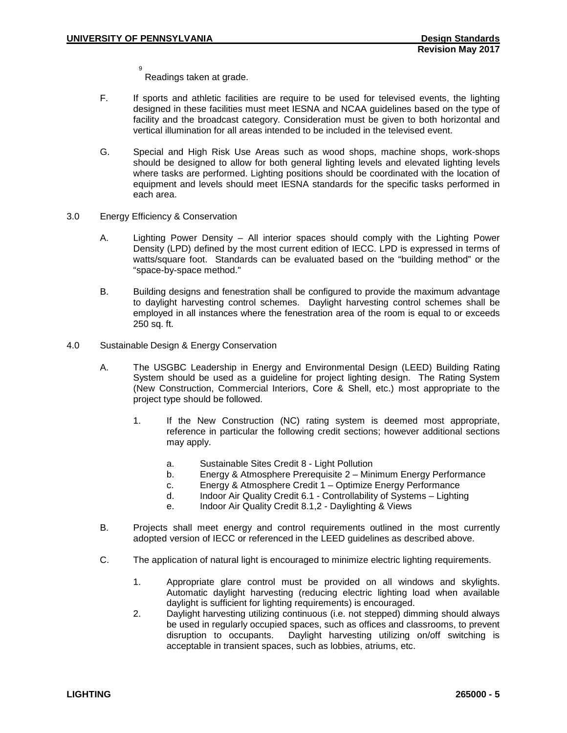9 Readings taken at grade.

- F. If sports and athletic facilities are require to be used for televised events, the lighting designed in these facilities must meet IESNA and NCAA guidelines based on the type of facility and the broadcast category. Consideration must be given to both horizontal and vertical illumination for all areas intended to be included in the televised event.
- G. Special and High Risk Use Areas such as wood shops, machine shops, work-shops should be designed to allow for both general lighting levels and elevated lighting levels where tasks are performed. Lighting positions should be coordinated with the location of equipment and levels should meet IESNA standards for the specific tasks performed in each area.
- 3.0 Energy Efficiency & Conservation
	- A. Lighting Power Density All interior spaces should comply with the Lighting Power Density (LPD) defined by the most current edition of IECC. LPD is expressed in terms of watts/square foot. Standards can be evaluated based on the "building method" or the "space-by-space method."
	- B. Building designs and fenestration shall be configured to provide the maximum advantage to daylight harvesting control schemes. Daylight harvesting control schemes shall be employed in all instances where the fenestration area of the room is equal to or exceeds 250 sq. ft.
- 4.0 Sustainable Design & Energy Conservation
	- A. The USGBC Leadership in Energy and Environmental Design (LEED) Building Rating System should be used as a guideline for project lighting design. The Rating System (New Construction, Commercial Interiors, Core & Shell, etc.) most appropriate to the project type should be followed.
		- 1. If the New Construction (NC) rating system is deemed most appropriate, reference in particular the following credit sections; however additional sections may apply.
			- a. Sustainable Sites Credit 8 Light Pollution
			- b. Energy & Atmosphere Prerequisite 2 Minimum Energy Performance
			- c. Energy & Atmosphere Credit 1 Optimize Energy Performance
			- d. Indoor Air Quality Credit 6.1 Controllability of Systems Lighting
			- e. Indoor Air Quality Credit 8.1,2 Daylighting & Views
	- B. Projects shall meet energy and control requirements outlined in the most currently adopted version of IECC or referenced in the LEED guidelines as described above.
	- C. The application of natural light is encouraged to minimize electric lighting requirements.
		- 1. Appropriate glare control must be provided on all windows and skylights. Automatic daylight harvesting (reducing electric lighting load when available daylight is sufficient for lighting requirements) is encouraged.
		- 2. Daylight harvesting utilizing continuous (i.e. not stepped) dimming should always be used in regularly occupied spaces, such as offices and classrooms, to prevent disruption to occupants. Daylight harvesting utilizing on/off switching is acceptable in transient spaces, such as lobbies, atriums, etc.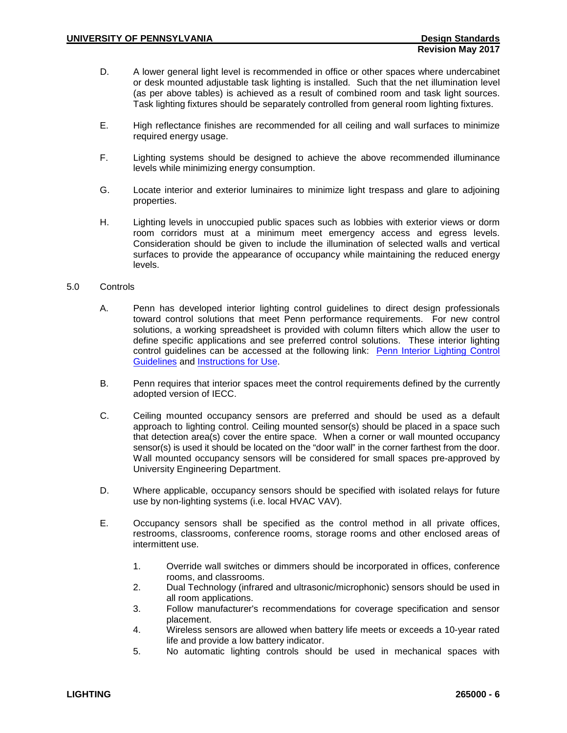- D. A lower general light level is recommended in office or other spaces where undercabinet or desk mounted adjustable task lighting is installed. Such that the net illumination level (as per above tables) is achieved as a result of combined room and task light sources. Task lighting fixtures should be separately controlled from general room lighting fixtures.
- E. High reflectance finishes are recommended for all ceiling and wall surfaces to minimize required energy usage.
- F. Lighting systems should be designed to achieve the above recommended illuminance levels while minimizing energy consumption.
- G. Locate interior and exterior luminaires to minimize light trespass and glare to adjoining properties.
- H. Lighting levels in unoccupied public spaces such as lobbies with exterior views or dorm room corridors must at a minimum meet emergency access and egress levels. Consideration should be given to include the illumination of selected walls and vertical surfaces to provide the appearance of occupancy while maintaining the reduced energy levels.

#### 5.0 Controls

- A. Penn has developed interior lighting control guidelines to direct design professionals toward control solutions that meet Penn performance requirements. For new control solutions, a working spreadsheet is provided with column filters which allow the user to define specific applications and see preferred control solutions. These interior lighting control guidelines can be accessed at the following link: Penn Interior Lighting Control [Guidelines](https://www.facilities.upenn.edu/sites/default/files/penn_interior_control_guidelines_-_12.31.2013.xlsx) and [Instructions for Use.](https://www.facilities.upenn.edu/sites/default/files/penn_interior_control_guidelines_instructions_for_use_-_12.31.2013.pdf)
- B. Penn requires that interior spaces meet the control requirements defined by the currently adopted version of IECC.
- C. Ceiling mounted occupancy sensors are preferred and should be used as a default approach to lighting control. Ceiling mounted sensor(s) should be placed in a space such that detection area(s) cover the entire space. When a corner or wall mounted occupancy sensor(s) is used it should be located on the "door wall" in the corner farthest from the door. Wall mounted occupancy sensors will be considered for small spaces pre-approved by University Engineering Department.
- D. Where applicable, occupancy sensors should be specified with isolated relays for future use by non-lighting systems (i.e. local HVAC VAV).
- E. Occupancy sensors shall be specified as the control method in all private offices, restrooms, classrooms, conference rooms, storage rooms and other enclosed areas of intermittent use.
	- 1. Override wall switches or dimmers should be incorporated in offices, conference rooms, and classrooms.
	- 2. Dual Technology (infrared and ultrasonic/microphonic) sensors should be used in all room applications.
	- 3. Follow manufacturer's recommendations for coverage specification and sensor placement.
	- 4. Wireless sensors are allowed when battery life meets or exceeds a 10-year rated life and provide a low battery indicator.
	- 5. No automatic lighting controls should be used in mechanical spaces with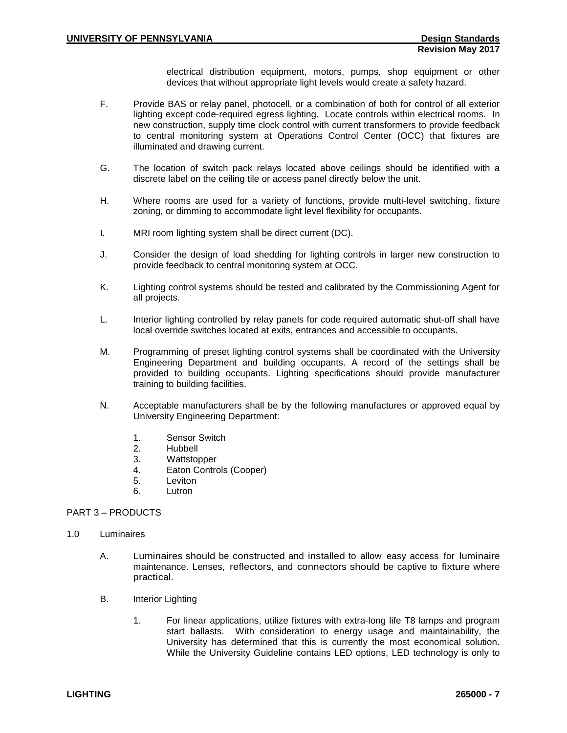electrical distribution equipment, motors, pumps, shop equipment or other devices that without appropriate light levels would create a safety hazard.

- F. Provide BAS or relay panel, photocell, or a combination of both for control of all exterior lighting except code-required egress lighting. Locate controls within electrical rooms. In new construction, supply time clock control with current transformers to provide feedback to central monitoring system at Operations Control Center (OCC) that fixtures are illuminated and drawing current.
- G. The location of switch pack relays located above ceilings should be identified with a discrete label on the ceiling tile or access panel directly below the unit.
- H. Where rooms are used for a variety of functions, provide multi-level switching, fixture zoning, or dimming to accommodate light level flexibility for occupants.
- I. MRI room lighting system shall be direct current (DC).
- J. Consider the design of load shedding for lighting controls in larger new construction to provide feedback to central monitoring system at OCC.
- K. Lighting control systems should be tested and calibrated by the Commissioning Agent for all projects.
- L. Interior lighting controlled by relay panels for code required automatic shut-off shall have local override switches located at exits, entrances and accessible to occupants.
- M. Programming of preset lighting control systems shall be coordinated with the University Engineering Department and building occupants. A record of the settings shall be provided to building occupants. Lighting specifications should provide manufacturer training to building facilities.
- N. Acceptable manufacturers shall be by the following manufactures or approved equal by University Engineering Department:
	- 1. Sensor Switch
	- 2. Hubbell<br>3. Wattstor
	- Wattstopper
	- 4. Eaton Controls (Cooper)
	- 5. Leviton
	- 6. Lutron

# PART 3 – PRODUCTS

- 1.0 Luminaires
	- A. Luminaires should be constructed and installed to allow easy access for luminaire maintenance. Lenses, reflectors, and connectors should be captive to fixture where practical.
	- B. Interior Lighting
		- 1. For linear applications, utilize fixtures with extra-long life T8 lamps and program start ballasts. With consideration to energy usage and maintainability, the University has determined that this is currently the most economical solution. While the University Guideline contains LED options, LED technology is only to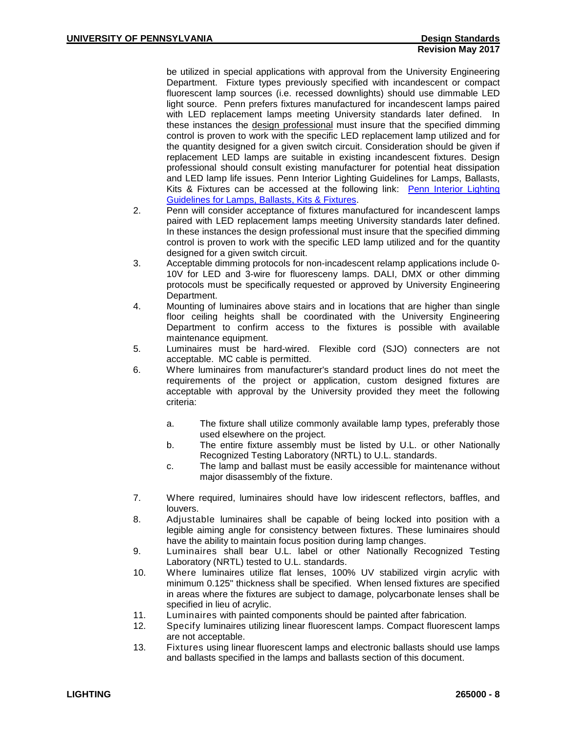be utilized in special applications with approval from the University Engineering Department. Fixture types previously specified with incandescent or compact fluorescent lamp sources (i.e. recessed downlights) should use dimmable LED light source. Penn prefers fixtures manufactured for incandescent lamps paired with LED replacement lamps meeting University standards later defined. In these instances the design professional must insure that the specified dimming control is proven to work with the specific LED replacement lamp utilized and for the quantity designed for a given switch circuit. Consideration should be given if replacement LED lamps are suitable in existing incandescent fixtures. Design professional should consult existing manufacturer for potential heat dissipation and LED lamp life issues. Penn Interior Lighting Guidelines for Lamps, Ballasts, Kits & Fixtures can be accessed at the following link: [Penn Interior Lighting](https://www.facilities.upenn.edu/sites/default/files/penn_interior_lighting_guideline_for_lamps_ballasts_kits_fixtures_-_10.02.2014.pdf)  [Guidelines for Lamps, Ballasts, Kits & Fixtures.](https://www.facilities.upenn.edu/sites/default/files/penn_interior_lighting_guideline_for_lamps_ballasts_kits_fixtures_-_10.02.2014.pdf)

- 2. Penn will consider acceptance of fixtures manufactured for incandescent lamps paired with LED replacement lamps meeting University standards later defined. In these instances the design professional must insure that the specified dimming control is proven to work with the specific LED lamp utilized and for the quantity designed for a given switch circuit.
- 3. Acceptable dimming protocols for non-incadescent relamp applications include 0- 10V for LED and 3-wire for fluoresceny lamps. DALI, DMX or other dimming protocols must be specifically requested or approved by University Engineering Department.
- 4. Mounting of luminaires above stairs and in locations that are higher than single floor ceiling heights shall be coordinated with the University Engineering Department to confirm access to the fixtures is possible with available maintenance equipment.
- 5. Luminaires must be hard-wired. Flexible cord (SJO) connecters are not acceptable. MC cable is permitted.
- 6. Where luminaires from manufacturer's standard product lines do not meet the requirements of the project or application, custom designed fixtures are acceptable with approval by the University provided they meet the following criteria:
	- a. The fixture shall utilize commonly available lamp types, preferably those used elsewhere on the project.
	- b. The entire fixture assembly must be listed by U.L. or other Nationally Recognized Testing Laboratory (NRTL) to U.L. standards.
	- c. The lamp and ballast must be easily accessible for maintenance without major disassembly of the fixture.
- 7. Where required, luminaires should have low iridescent reflectors, baffles, and louvers.
- 8. Adjustable luminaires shall be capable of being locked into position with a legible aiming angle for consistency between fixtures. These luminaires should have the ability to maintain focus position during lamp changes.
- 9. Luminaires shall bear U.L. label or other Nationally Recognized Testing Laboratory (NRTL) tested to U.L. standards.
- 10. Where luminaires utilize flat lenses, 100% UV stabilized virgin acrylic with minimum 0.125" thickness shall be specified. When lensed fixtures are specified in areas where the fixtures are subject to damage, polycarbonate lenses shall be specified in lieu of acrylic.
- 11. Luminaires with painted components should be painted after fabrication.<br>12. Specify luminaires utilizing linear fluorescent lamps. Compact fluorescen
- Specify luminaires utilizing linear fluorescent lamps. Compact fluorescent lamps are not acceptable.
- 13. Fixtures using linear fluorescent lamps and electronic ballasts should use lamps and ballasts specified in the lamps and ballasts section of this document.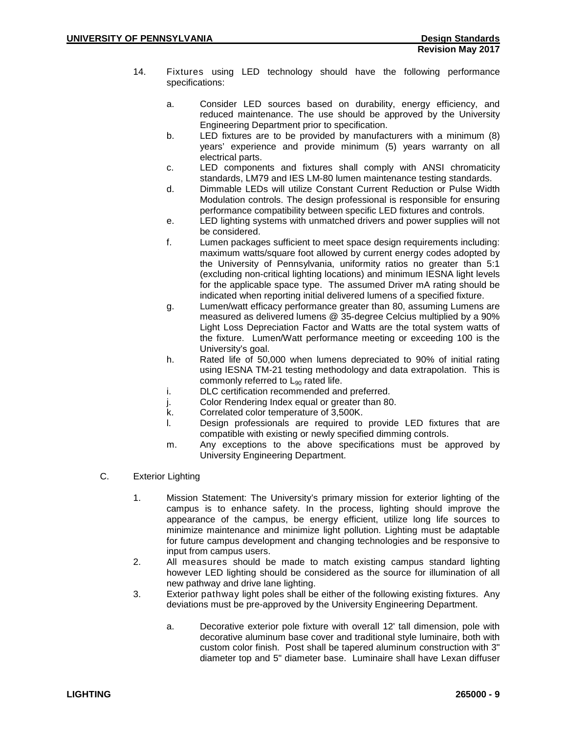- 14. Fixtures using LED technology should have the following performance specifications:
	- a. Consider LED sources based on durability, energy efficiency, and reduced maintenance. The use should be approved by the University Engineering Department prior to specification.
	- b. LED fixtures are to be provided by manufacturers with a minimum (8) years' experience and provide minimum (5) years warranty on all electrical parts.
	- c. LED components and fixtures shall comply with ANSI chromaticity standards, LM79 and IES LM-80 lumen maintenance testing standards.
	- d. Dimmable LEDs will utilize Constant Current Reduction or Pulse Width Modulation controls. The design professional is responsible for ensuring performance compatibility between specific LED fixtures and controls.
	- e. LED lighting systems with unmatched drivers and power supplies will not be considered.
	- f. Lumen packages sufficient to meet space design requirements including: maximum watts/square foot allowed by current energy codes adopted by the University of Pennsylvania, uniformity ratios no greater than 5:1 (excluding non-critical lighting locations) and minimum IESNA light levels for the applicable space type. The assumed Driver mA rating should be indicated when reporting initial delivered lumens of a specified fixture.
	- g. Lumen/watt efficacy performance greater than 80, assuming Lumens are measured as delivered lumens @ 35-degree Celcius multiplied by a 90% Light Loss Depreciation Factor and Watts are the total system watts of the fixture. Lumen/Watt performance meeting or exceeding 100 is the University's goal.
	- h. Rated life of 50,000 when lumens depreciated to 90% of initial rating using IESNA TM-21 testing methodology and data extrapolation. This is commonly referred to  $L_{90}$  rated life.
	- i. DLC certification recommended and preferred.
	- j. Color Rendering Index equal or greater than 80.
	- k. Correlated color temperature of 3,500K.
	- l. Design professionals are required to provide LED fixtures that are compatible with existing or newly specified dimming controls.
	- m. Any exceptions to the above specifications must be approved by University Engineering Department.
- C. Exterior Lighting
	- 1. Mission Statement: The University's primary mission for exterior lighting of the campus is to enhance safety. In the process, lighting should improve the appearance of the campus, be energy efficient, utilize long life sources to minimize maintenance and minimize light pollution. Lighting must be adaptable for future campus development and changing technologies and be responsive to input from campus users.
	- 2. All measures should be made to match existing campus standard lighting however LED lighting should be considered as the source for illumination of all new pathway and drive lane lighting.
	- 3. Exterior pathway light poles shall be either of the following existing fixtures. Any deviations must be pre-approved by the University Engineering Department.
		- a. Decorative exterior pole fixture with overall 12' tall dimension, pole with decorative aluminum base cover and traditional style luminaire, both with custom color finish. Post shall be tapered aluminum construction with 3" diameter top and 5" diameter base. Luminaire shall have Lexan diffuser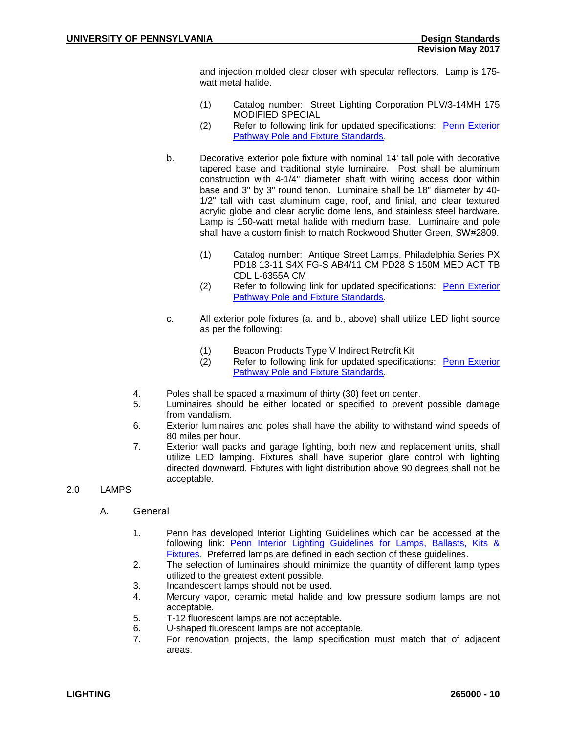and injection molded clear closer with specular reflectors. Lamp is 175 watt metal halide.

- (1) Catalog number: Street Lighting Corporation PLV/3-14MH 175 MODIFIED SPECIAL
- (2) Refer to following link for updated specifications: Penn Exterior [Pathway Pole and Fixture](http://www.facilities.upenn.edu/sites/default/files/pdfs/Penn%20Exterior%20Pathway%20Pole%20and%20Fixture%20Standards%20141008.pdf) Standards.
- b. Decorative exterior pole fixture with nominal 14' tall pole with decorative tapered base and traditional style luminaire. Post shall be aluminum construction with 4-1/4" diameter shaft with wiring access door within base and 3" by 3" round tenon. Luminaire shall be 18" diameter by 40- 1/2" tall with cast aluminum cage, roof, and finial, and clear textured acrylic globe and clear acrylic dome lens, and stainless steel hardware. Lamp is 150-watt metal halide with medium base. Luminaire and pole shall have a custom finish to match Rockwood Shutter Green, SW#2809.
	- (1) Catalog number: Antique Street Lamps, Philadelphia Series PX PD18 13-11 S4X FG-S AB4/11 CM PD28 S 150M MED ACT TB CDL L-6355A CM
	- (2) Refer to following link for updated specifications: [Penn Exterior](http://www.facilities.upenn.edu/sites/default/files/pdfs/Penn%20Exterior%20Pathway%20Pole%20and%20Fixture%20Standards%20141008.pdf)  [Pathway Pole and Fixture Standards.](http://www.facilities.upenn.edu/sites/default/files/pdfs/Penn%20Exterior%20Pathway%20Pole%20and%20Fixture%20Standards%20141008.pdf)
- c. All exterior pole fixtures (a. and b., above) shall utilize LED light source as per the following:
	- (1) Beacon Products Type V Indirect Retrofit Kit
	- (2) Refer to following link for updated specifications: Penn Exterior [Pathway Pole and Fixture Standards.](http://www.facilities.upenn.edu/sites/default/files/pdfs/Penn%20Exterior%20Pathway%20Pole%20and%20Fixture%20Standards%20141008.pdf)
- 4. Poles shall be spaced a maximum of thirty (30) feet on center.
- 5. Luminaires should be either located or specified to prevent possible damage from vandalism.
- 6. Exterior luminaires and poles shall have the ability to withstand wind speeds of 80 miles per hour.
- 7. Exterior wall packs and garage lighting, both new and replacement units, shall utilize LED lamping. Fixtures shall have superior glare control with lighting directed downward. Fixtures with light distribution above 90 degrees shall not be acceptable.
- 2.0 LAMPS
	- A. General
		- 1. Penn has developed Interior Lighting Guidelines which can be accessed at the following link: Penn Interior Lighting Guidelines for Lamps, Ballasts, Kits & [Fixtures.](https://www.facilities.upenn.edu/sites/default/files/penn_interior_lighting_guideline_for_lamps_ballasts_kits_fixtures_-_10.02.2014.pdf) Preferred lamps are defined in each section of these guidelines.
		- 2. The selection of luminaires should minimize the quantity of different lamp types utilized to the greatest extent possible.
		- 3. Incandescent lamps should not be used.<br>4. Mercury vapor, ceramic metal halide are
		- 4. Mercury vapor, ceramic metal halide and low pressure sodium lamps are not acceptable.
		- 5. T-12 fluorescent lamps are not acceptable.
		- 6. U-shaped fluorescent lamps are not acceptable.
		- 7. For renovation projects, the lamp specification must match that of adjacent areas.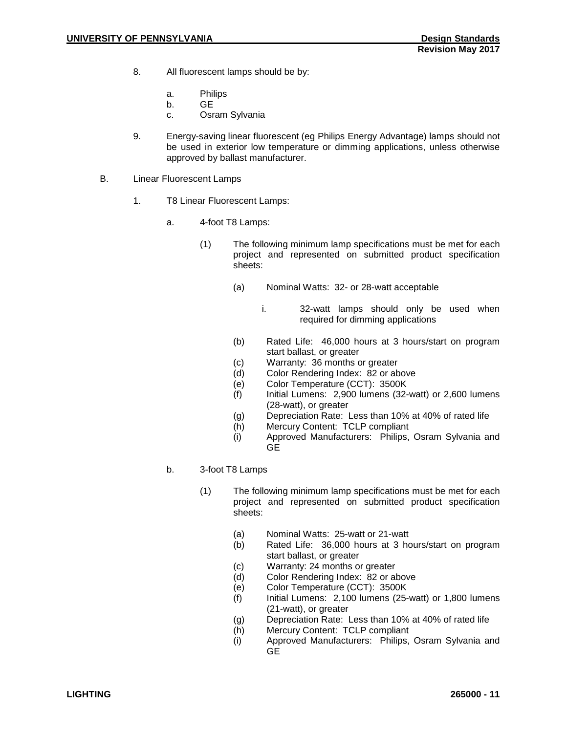- 8. All fluorescent lamps should be by:
	- a. Philips
	- b. GE
	- c. Osram Sylvania
- 9. Energy-saving linear fluorescent (eg Philips Energy Advantage) lamps should not be used in exterior low temperature or dimming applications, unless otherwise approved by ballast manufacturer.
- B. Linear Fluorescent Lamps
	- 1. T8 Linear Fluorescent Lamps:
		- a. 4-foot T8 Lamps:
			- (1) The following minimum lamp specifications must be met for each project and represented on submitted product specification sheets:
				- (a) Nominal Watts: 32- or 28-watt acceptable
					- i. 32-watt lamps should only be used when required for dimming applications
				- (b) Rated Life: 46,000 hours at 3 hours/start on program start ballast, or greater
				- (c) Warranty: 36 months or greater<br>(d) Color Rendering Index: 82 or ab
				- Color Rendering Index: 82 or above
				- (e) Color Temperature (CCT): 3500K
				- (f) Initial Lumens: 2,900 lumens (32-watt) or 2,600 lumens (28-watt), or greater
				- (g) Depreciation Rate: Less than 10% at 40% of rated life
				- (h) Mercury Content: TCLP compliant
				- (i) Approved Manufacturers: Philips, Osram Sylvania and **GE**
		- b. 3-foot T8 Lamps
			- (1) The following minimum lamp specifications must be met for each project and represented on submitted product specification sheets:
				- (a) Nominal Watts: 25-watt or 21-watt
				- (b) Rated Life: 36,000 hours at 3 hours/start on program start ballast, or greater
				- (c) Warranty: 24 months or greater
				- (d) Color Rendering Index: 82 or above
				- (e) Color Temperature (CCT): 3500K
				- $(f)$  Initial Lumens: 2,100 lumens (25-watt) or 1,800 lumens (21-watt), or greater
				- (g) Depreciation Rate: Less than 10% at 40% of rated life
				- (h) Mercury Content: TCLP compliant
				- (i) Approved Manufacturers: Philips, Osram Sylvania and **GE**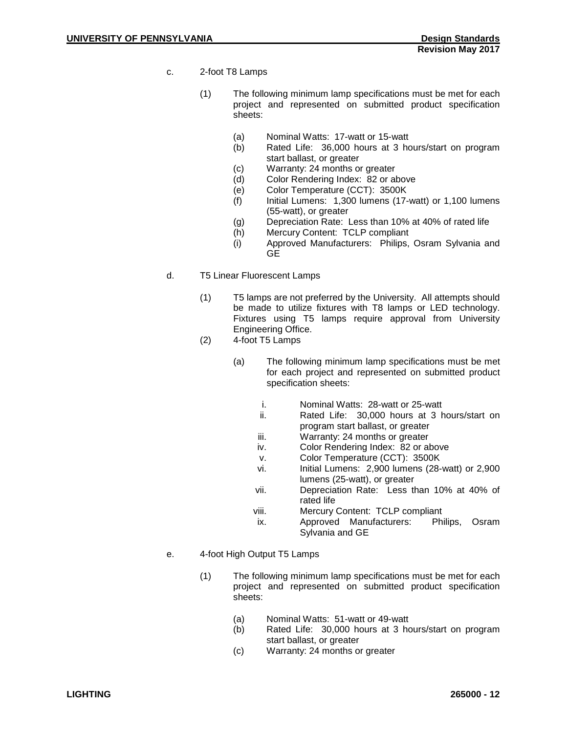- c. 2-foot T8 Lamps
	- (1) The following minimum lamp specifications must be met for each project and represented on submitted product specification sheets:
		- (a) Nominal Watts: 17-watt or 15-watt
		- (b) Rated Life: 36,000 hours at 3 hours/start on program start ballast, or greater
		- (c) Warranty: 24 months or greater
		- (d) Color Rendering Index: 82 or above
		- (e) Color Temperature (CCT): 3500K
		- $(f)$  Initial Lumens: 1,300 lumens (17-watt) or 1,100 lumens (55-watt), or greater
		- (g) Depreciation Rate: Less than 10% at 40% of rated life
		- (h) Mercury Content: TCLP compliant
		- (i) Approved Manufacturers: Philips, Osram Sylvania and GE
- d. T5 Linear Fluorescent Lamps
	- (1) T5 lamps are not preferred by the University. All attempts should be made to utilize fixtures with T8 lamps or LED technology. Fixtures using T5 lamps require approval from University Engineering Office.
	- (2) 4-foot T5 Lamps
		- (a) The following minimum lamp specifications must be met for each project and represented on submitted product specification sheets:
			- i. Nominal Watts: 28-watt or 25-watt
			- ii. Rated Life: 30,000 hours at 3 hours/start on program start ballast, or greater
			- iii. Warranty: 24 months or greater
			- iv. Color Rendering Index: 82 or above
			- v. Color Temperature (CCT): 3500K
			- vi. Initial Lumens: 2,900 lumens (28-watt) or 2,900 lumens (25-watt), or greater
			- vii. Depreciation Rate: Less than 10% at 40% of rated life
			-
			- viii. Mercury Content: TCLP compliant<br>
			ix. Approved Manufacturers: Philips, Osram Approved Manufacturers: Sylvania and GE
- e. 4-foot High Output T5 Lamps
	- (1) The following minimum lamp specifications must be met for each project and represented on submitted product specification sheets:
		- (a) Nominal Watts: 51-watt or 49-watt
		- (b) Rated Life: 30,000 hours at 3 hours/start on program start ballast, or greater
		- (c) Warranty: 24 months or greater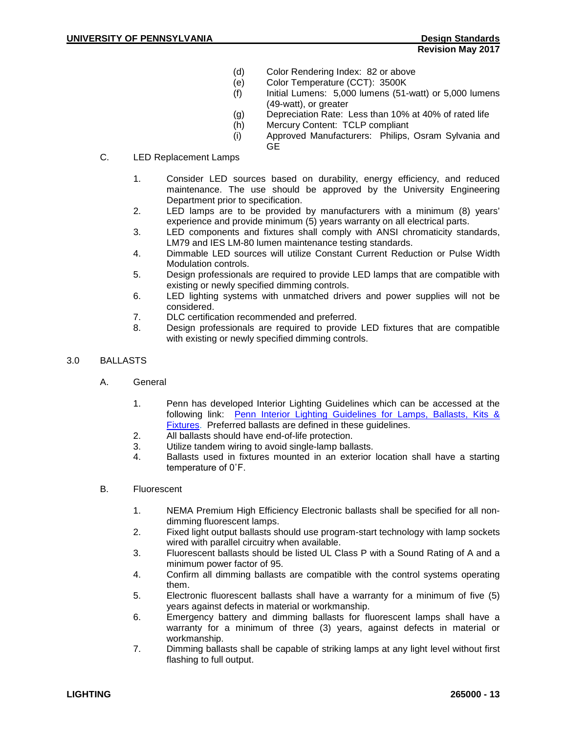- (d) Color Rendering Index: 82 or above
- (e) Color Temperature (CCT): 3500K
- $(f)$  Initial Lumens: 5,000 lumens (51-watt) or 5,000 lumens (49-watt), or greater
- (g) Depreciation Rate: Less than 10% at 40% of rated life
- (h) Mercury Content: TCLP compliant
- (i) Approved Manufacturers: Philips, Osram Sylvania and GE
- C. LED Replacement Lamps
	- 1. Consider LED sources based on durability, energy efficiency, and reduced maintenance. The use should be approved by the University Engineering Department prior to specification.
	- 2. LED lamps are to be provided by manufacturers with a minimum (8) years' experience and provide minimum (5) years warranty on all electrical parts.
	- 3. LED components and fixtures shall comply with ANSI chromaticity standards, LM79 and IES LM-80 lumen maintenance testing standards.
	- 4. Dimmable LED sources will utilize Constant Current Reduction or Pulse Width Modulation controls.
	- 5. Design professionals are required to provide LED lamps that are compatible with existing or newly specified dimming controls.
	- 6. LED lighting systems with unmatched drivers and power supplies will not be considered.
	- 7. DLC certification recommended and preferred.
	- 8. Design professionals are required to provide LED fixtures that are compatible with existing or newly specified dimming controls.
- 3.0 BALLASTS
	- A. General
		- 1. Penn has developed Interior Lighting Guidelines which can be accessed at the following link: [Penn Interior Lighting Guidelines for Lamps, Ballasts, Kits &](https://www.facilities.upenn.edu/sites/default/files/penn_interior_lighting_guideline_for_lamps_ballasts_kits_fixtures_-_10.02.2014.pdf)  [Fixtures.](https://www.facilities.upenn.edu/sites/default/files/penn_interior_lighting_guideline_for_lamps_ballasts_kits_fixtures_-_10.02.2014.pdf) Preferred ballasts are defined in these guidelines.
		- 2. All ballasts should have end-of-life protection.
		- 3. Utilize tandem wiring to avoid single-lamp ballasts.
		- 4. Ballasts used in fixtures mounted in an exterior location shall have a starting temperature of 0˚F.
	- B. Fluorescent
		- 1. NEMA Premium High Efficiency Electronic ballasts shall be specified for all nondimming fluorescent lamps.
		- 2. Fixed light output ballasts should use program-start technology with lamp sockets wired with parallel circuitry when available.
		- 3. Fluorescent ballasts should be listed UL Class P with a Sound Rating of A and a minimum power factor of 95.
		- 4. Confirm all dimming ballasts are compatible with the control systems operating them.
		- 5. Electronic fluorescent ballasts shall have a warranty for a minimum of five (5) years against defects in material or workmanship.
		- 6. Emergency battery and dimming ballasts for fluorescent lamps shall have a warranty for a minimum of three (3) years, against defects in material or workmanship.
		- 7. Dimming ballasts shall be capable of striking lamps at any light level without first flashing to full output.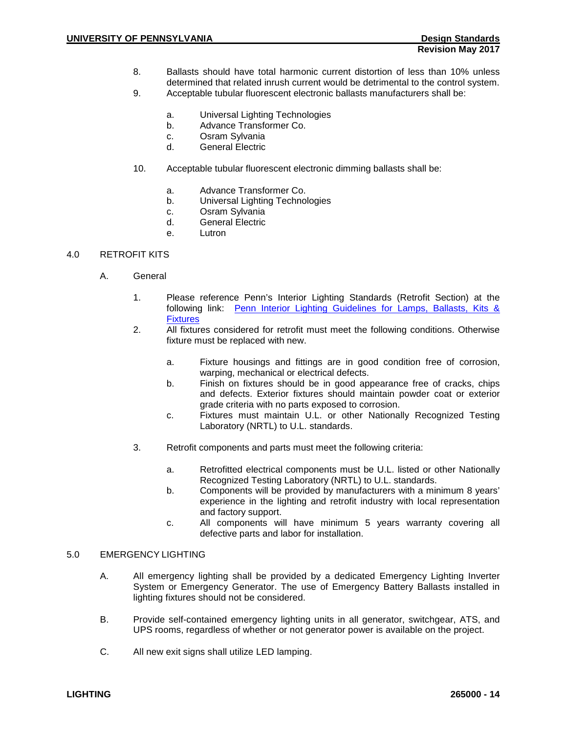- 8. Ballasts should have total harmonic current distortion of less than 10% unless determined that related inrush current would be detrimental to the control system.
- 9. Acceptable tubular fluorescent electronic ballasts manufacturers shall be:
	- a. Universal Lighting Technologies
	- b. Advance Transformer Co.
	- c. Osram Sylvania<br>d General Flectric
	- General Electric
- 10. Acceptable tubular fluorescent electronic dimming ballasts shall be:
	- a. Advance Transformer Co.
	- b. Universal Lighting Technologies
	- c. Osram Sylvania
	- d. General Electric
	- e. Lutron

### 4.0 RETROFIT KITS

- A. General
	- 1. Please reference Penn's Interior Lighting Standards (Retrofit Section) at the following link: [Penn Interior Lighting Guidelines for Lamps, Ballasts, Kits &](https://www.facilities.upenn.edu/sites/default/files/penn_interior_lighting_guideline_for_lamps_ballasts_kits_fixtures_-_10.02.2014.pdf)  **[Fixtures](https://www.facilities.upenn.edu/sites/default/files/penn_interior_lighting_guideline_for_lamps_ballasts_kits_fixtures_-_10.02.2014.pdf)**
	- 2. All fixtures considered for retrofit must meet the following conditions. Otherwise fixture must be replaced with new.
		- a. Fixture housings and fittings are in good condition free of corrosion, warping, mechanical or electrical defects.
		- b. Finish on fixtures should be in good appearance free of cracks, chips and defects. Exterior fixtures should maintain powder coat or exterior grade criteria with no parts exposed to corrosion.
		- c. Fixtures must maintain U.L. or other Nationally Recognized Testing Laboratory (NRTL) to U.L. standards.
	- 3. Retrofit components and parts must meet the following criteria:
		- a. Retrofitted electrical components must be U.L. listed or other Nationally Recognized Testing Laboratory (NRTL) to U.L. standards.
		- b. Components will be provided by manufacturers with a minimum 8 years' experience in the lighting and retrofit industry with local representation and factory support.
		- c. All components will have minimum 5 years warranty covering all defective parts and labor for installation.

### 5.0 EMERGENCY LIGHTING

- A. All emergency lighting shall be provided by a dedicated Emergency Lighting Inverter System or Emergency Generator. The use of Emergency Battery Ballasts installed in lighting fixtures should not be considered.
- B. Provide self-contained emergency lighting units in all generator, switchgear, ATS, and UPS rooms, regardless of whether or not generator power is available on the project.
- C. All new exit signs shall utilize LED lamping.